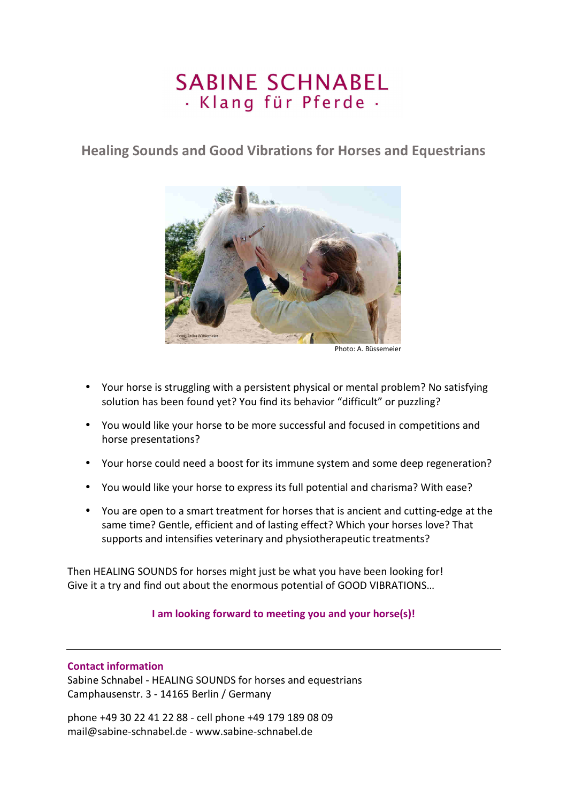# **SABINE SCHNABEL** · Klang für Pferde ·

**Healing Sounds and Good Vibrations for Horses and Equestrians** 



Photo: A. Büssemeier

- Your horse is struggling with a persistent physical or mental problem? No satisfying solution has been found yet? You find its behavior "difficult" or puzzling?
- You would like your horse to be more successful and focused in competitions and horse presentations?
- Your horse could need a boost for its immune system and some deep regeneration?
- You would like your horse to express its full potential and charisma? With ease?
- You are open to a smart treatment for horses that is ancient and cutting-edge at the same time? Gentle, efficient and of lasting effect? Which your horses love? That supports and intensifies veterinary and physiotherapeutic treatments?

Then HEALING SOUNDS for horses might just be what you have been looking for! Give it a try and find out about the enormous potential of GOOD VIBRATIONS…

# **I am looking forward to meeting you and your horse(s)!**

# **Contact information**

Sabine Schnabel - HEALING SOUNDS for horses and equestrians Camphausenstr. 3 - 14165 Berlin / Germany

phone +49 30 22 41 22 88 - cell phone +49 179 189 08 09 mail@sabine-schnabel.de - www.sabine-schnabel.de